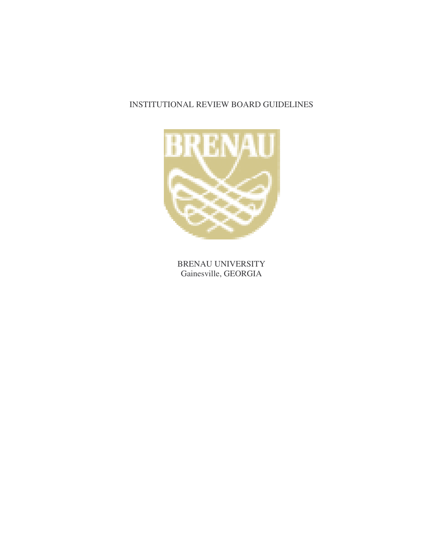## INSTITUTIONAL REVIEW BOARD GUIDELINES



BRENAU UNIVERSITY Gainesville, GEORGIA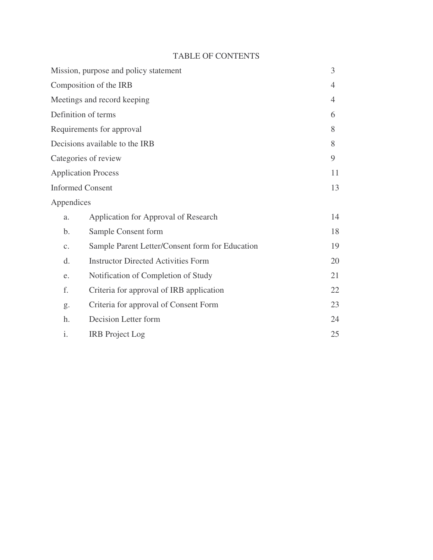## TABLE OF CONTENTS

| 3  |
|----|
| 4  |
| 4  |
| 6  |
| 8  |
| 8  |
| 9  |
| 11 |
| 13 |
|    |
| 14 |
| 18 |
| 19 |
| 20 |
| 21 |
| 22 |
| 23 |
| 24 |
| 25 |
|    |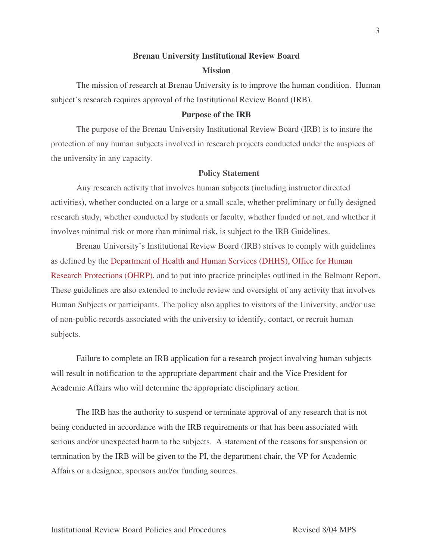# **Brenau University Institutional Review Board Mission**

The mission of research at Brenau University is to improve the human condition. Human subject's research requires approval of the Institutional Review Board (IRB).

#### **Purpose of the IRB**

The purpose of the Brenau University Institutional Review Board (IRB) is to insure the protection of any human subjects involved in research projects conducted under the auspices of the university in any capacity.

#### **Policy Statement**

Any research activity that involves human subjects (including instructor directed activities), whether conducted on a large or a small scale, whether preliminary or fully designed research study, whether conducted by students or faculty, whether funded or not, and whether it involves minimal risk or more than minimal risk, is subject to the IRB Guidelines.

Brenau University's Institutional Review Board (IRB) strives to comply with guidelines as defined by the Department of Health and Human Services (DHHS), Office for Human Research Protections (OHRP), and to put into practice principles outlined in the Belmont Report. These guidelines are also extended to include review and oversight of any activity that involves Human Subjects or participants. The policy also applies to visitors of the University, and/or use of non-public records associated with the university to identify, contact, or recruit human subjects.

Failure to complete an IRB application for a research project involving human subjects will result in notification to the appropriate department chair and the Vice President for Academic Affairs who will determine the appropriate disciplinary action.

The IRB has the authority to suspend or terminate approval of any research that is not being conducted in accordance with the IRB requirements or that has been associated with serious and/or unexpected harm to the subjects. A statement of the reasons for suspension or termination by the IRB will be given to the PI, the department chair, the VP for Academic Affairs or a designee, sponsors and/or funding sources.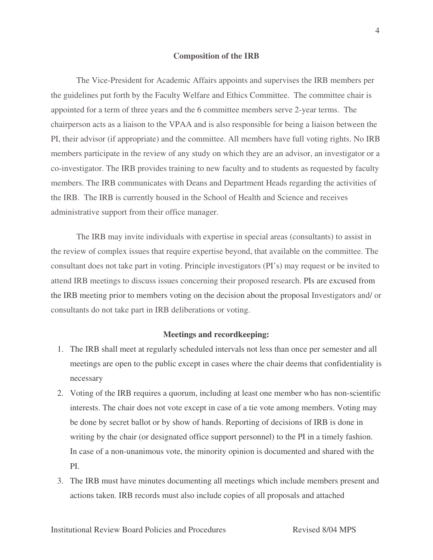#### **Composition of the IRB**

The Vice-President for Academic Affairs appoints and supervises the IRB members per the guidelines put forth by the Faculty Welfare and Ethics Committee. The committee chair is appointed for a term of three years and the 6 committee members serve 2-year terms. The chairperson acts as a liaison to the VPAA and is also responsible for being a liaison between the PI, their advisor (if appropriate) and the committee. All members have full voting rights. No IRB members participate in the review of any study on which they are an advisor, an investigator or a co-investigator. The IRB provides training to new faculty and to students as requested by faculty members. The IRB communicates with Deans and Department Heads regarding the activities of the IRB. The IRB is currently housed in the School of Health and Science and receives administrative support from their office manager.

The IRB may invite individuals with expertise in special areas (consultants) to assist in the review of complex issues that require expertise beyond, that available on the committee. The consultant does not take part in voting. Principle investigators (PI's) may request or be invited to attend IRB meetings to discuss issues concerning their proposed research. PIs are excused from the IRB meeting prior to members voting on the decision about the proposal Investigators and/ or consultants do not take part in IRB deliberations or voting.

#### **Meetings and recordkeeping:**

- 1. The IRB shall meet at regularly scheduled intervals not less than once per semester and all meetings are open to the public except in cases where the chair deems that confidentiality is necessary
- 2. Voting of the IRB requires a quorum, including at least one member who has non-scientific interests. The chair does not vote except in case of a tie vote among members. Voting may be done by secret ballot or by show of hands. Reporting of decisions of IRB is done in writing by the chair (or designated office support personnel) to the PI in a timely fashion. In case of a non-unanimous vote, the minority opinion is documented and shared with the PI.
- 3. The IRB must have minutes documenting all meetings which include members present and actions taken. IRB records must also include copies of all proposals and attached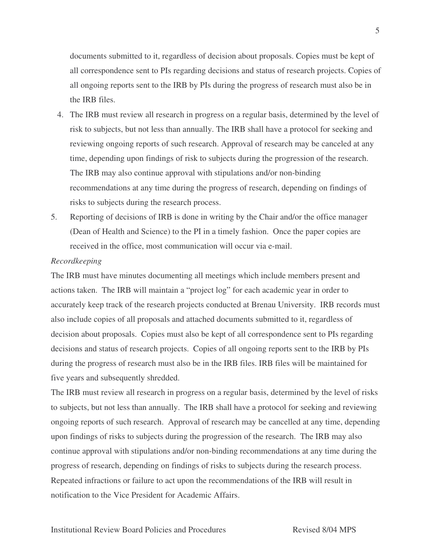documents submitted to it, regardless of decision about proposals. Copies must be kept of all correspondence sent to PIs regarding decisions and status of research projects. Copies of all ongoing reports sent to the IRB by PIs during the progress of research must also be in the IRB files.

- 4. The IRB must review all research in progress on a regular basis, determined by the level of risk to subjects, but not less than annually. The IRB shall have a protocol for seeking and reviewing ongoing reports of such research. Approval of research may be canceled at any time, depending upon findings of risk to subjects during the progression of the research. The IRB may also continue approval with stipulations and/or non-binding recommendations at any time during the progress of research, depending on findings of risks to subjects during the research process.
- 5. Reporting of decisions of IRB is done in writing by the Chair and/or the office manager (Dean of Health and Science) to the PI in a timely fashion. Once the paper copies are received in the office, most communication will occur via e-mail.

#### *Recordkeeping*

The IRB must have minutes documenting all meetings which include members present and actions taken. The IRB will maintain a "project log" for each academic year in order to accurately keep track of the research projects conducted at Brenau University. IRB records must also include copies of all proposals and attached documents submitted to it, regardless of decision about proposals. Copies must also be kept of all correspondence sent to PIs regarding decisions and status of research projects. Copies of all ongoing reports sent to the IRB by PIs during the progress of research must also be in the IRB files. IRB files will be maintained for five years and subsequently shredded.

The IRB must review all research in progress on a regular basis, determined by the level of risks to subjects, but not less than annually. The IRB shall have a protocol for seeking and reviewing ongoing reports of such research. Approval of research may be cancelled at any time, depending upon findings of risks to subjects during the progression of the research. The IRB may also continue approval with stipulations and/or non-binding recommendations at any time during the progress of research, depending on findings of risks to subjects during the research process. Repeated infractions or failure to act upon the recommendations of the IRB will result in notification to the Vice President for Academic Affairs.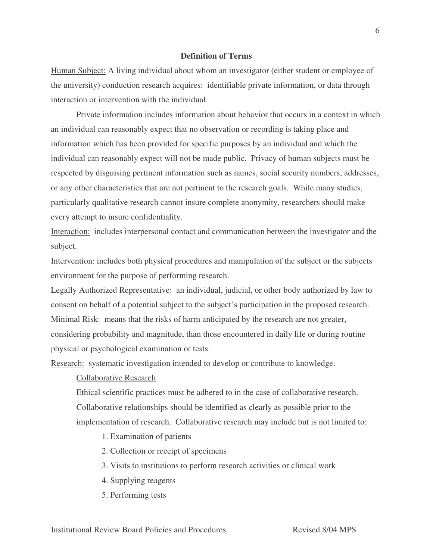## **Definition of Terms**

Human Subject: A living individual about whom an investigator (either student or employee of the university) conduction research acquires: identifiable private information, or data through interaction or intervention with the individual.

Private information includes information about behavior that occurs in a context in which an individual can reasonably expect that no observation or recording is taking place and information which has been provided for specific purposes by an individual and which the individual can reasonably expect will not be made public. Privacy of human subjects must be respected by disguising pertinent information such as names, social security numbers, addresses, or any other characteristics that are not pertinent to the research goals. While many studies, particularly qualitative research cannot insure complete anonymity, researchers should make every attempt to insure confidentiality.

Interaction: includes interpersonal contact and communication between the investigator and the subject.

Intervention: includes both physical procedures and manipulation of the subject or the subjects environment for the purpose of performing research.

Legally Authorized Representative: an individual, judicial, or other body authorized by law to consent on behalf of a potential subject to the subject's participation in the proposed research. Minimal Risk: means that the risks of harm anticipated by the research are not greater, considering probability and magnitude, than those encountered in daily life or during routine physical or psychological examination or tests.

Research: systematic investigation intended to develop or contribute to knowledge.

#### Collaborative Research

Ethical scientific practices must be adhered to in the case of collaborative research. Collaborative relationships should be identified as clearly as possible prior to the implementation of research. Collaborative research may include but is not limited to:

1. Examination of patients

- 2. Collection or receipt of specimens
- 3. Visits to institutions to perform research activities or clinical work
- 4. Supplying reagents
- 5. Performing tests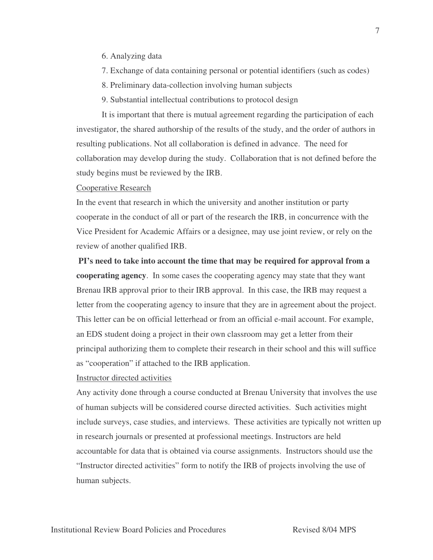- 6. Analyzing data
- 7. Exchange of data containing personal or potential identifiers (such as codes)
- 8. Preliminary data-collection involving human subjects
- 9. Substantial intellectual contributions to protocol design

It is important that there is mutual agreement regarding the participation of each investigator, the shared authorship of the results of the study, and the order of authors in resulting publications. Not all collaboration is defined in advance. The need for collaboration may develop during the study. Collaboration that is not defined before the study begins must be reviewed by the IRB.

#### Cooperative Research

In the event that research in which the university and another institution or party cooperate in the conduct of all or part of the research the IRB, in concurrence with the Vice President for Academic Affairs or a designee, may use joint review, or rely on the review of another qualified IRB.

**PI's need to take into account the time that may be required for approval from a cooperating agency**. In some cases the cooperating agency may state that they want Brenau IRB approval prior to their IRB approval. In this case, the IRB may request a letter from the cooperating agency to insure that they are in agreement about the project. This letter can be on official letterhead or from an official e-mail account. For example, an EDS student doing a project in their own classroom may get a letter from their principal authorizing them to complete their research in their school and this will suffice as "cooperation" if attached to the IRB application.

## Instructor directed activities

Any activity done through a course conducted at Brenau University that involves the use of human subjects will be considered course directed activities. Such activities might include surveys, case studies, and interviews. These activities are typically not written up in research journals or presented at professional meetings. Instructors are held accountable for data that is obtained via course assignments. Instructors should use the "Instructor directed activities" form to notify the IRB of projects involving the use of human subjects.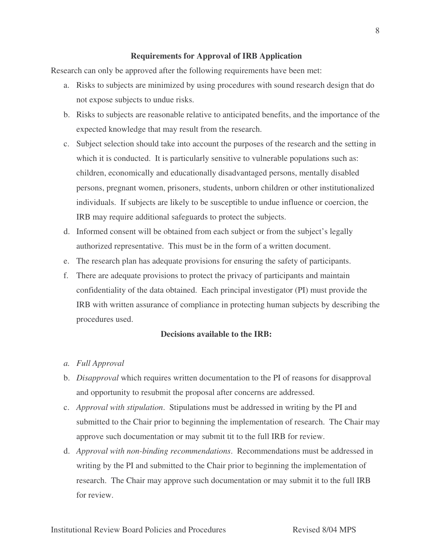#### **Requirements for Approval of IRB Application**

Research can only be approved after the following requirements have been met:

- a. Risks to subjects are minimized by using procedures with sound research design that do not expose subjects to undue risks.
- b. Risks to subjects are reasonable relative to anticipated benefits, and the importance of the expected knowledge that may result from the research.
- c. Subject selection should take into account the purposes of the research and the setting in which it is conducted. It is particularly sensitive to vulnerable populations such as: children, economically and educationally disadvantaged persons, mentally disabled persons, pregnant women, prisoners, students, unborn children or other institutionalized individuals. If subjects are likely to be susceptible to undue influence or coercion, the IRB may require additional safeguards to protect the subjects.
- d. Informed consent will be obtained from each subject or from the subject's legally authorized representative. This must be in the form of a written document.
- e. The research plan has adequate provisions for ensuring the safety of participants.
- f. There are adequate provisions to protect the privacy of participants and maintain confidentiality of the data obtained. Each principal investigator (PI) must provide the IRB with written assurance of compliance in protecting human subjects by describing the procedures used.

#### **Decisions available to the IRB:**

- *a. Full Approval*
- b. *Disapproval* which requires written documentation to the PI of reasons for disapproval and opportunity to resubmit the proposal after concerns are addressed.
- c. *Approval with stipulation*. Stipulations must be addressed in writing by the PI and submitted to the Chair prior to beginning the implementation of research. The Chair may approve such documentation or may submit tit to the full IRB for review.
- d. *Approval with non-binding recommendations*. Recommendations must be addressed in writing by the PI and submitted to the Chair prior to beginning the implementation of research. The Chair may approve such documentation or may submit it to the full IRB for review.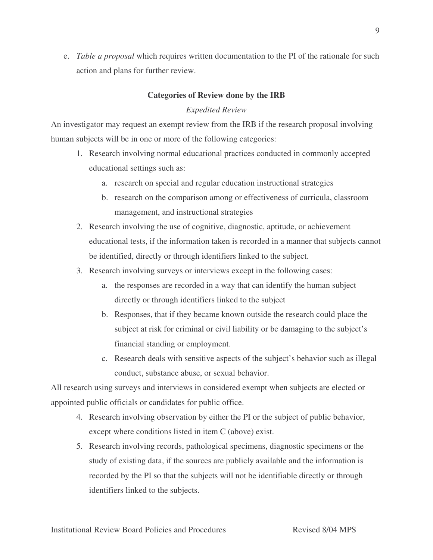e. *Table a proposal* which requires written documentation to the PI of the rationale for such action and plans for further review.

## **Categories of Review done by the IRB**

## *Expedited Review*

An investigator may request an exempt review from the IRB if the research proposal involving human subjects will be in one or more of the following categories:

- 1. Research involving normal educational practices conducted in commonly accepted educational settings such as:
	- a. research on special and regular education instructional strategies
	- b. research on the comparison among or effectiveness of curricula, classroom management, and instructional strategies
- 2. Research involving the use of cognitive, diagnostic, aptitude, or achievement educational tests, if the information taken is recorded in a manner that subjects cannot be identified, directly or through identifiers linked to the subject.
- 3. Research involving surveys or interviews except in the following cases:
	- a. the responses are recorded in a way that can identify the human subject directly or through identifiers linked to the subject
	- b. Responses, that if they became known outside the research could place the subject at risk for criminal or civil liability or be damaging to the subject's financial standing or employment.
	- c. Research deals with sensitive aspects of the subject's behavior such as illegal conduct, substance abuse, or sexual behavior.

All research using surveys and interviews in considered exempt when subjects are elected or appointed public officials or candidates for public office.

- 4. Research involving observation by either the PI or the subject of public behavior, except where conditions listed in item C (above) exist.
- 5. Research involving records, pathological specimens, diagnostic specimens or the study of existing data, if the sources are publicly available and the information is recorded by the PI so that the subjects will not be identifiable directly or through identifiers linked to the subjects.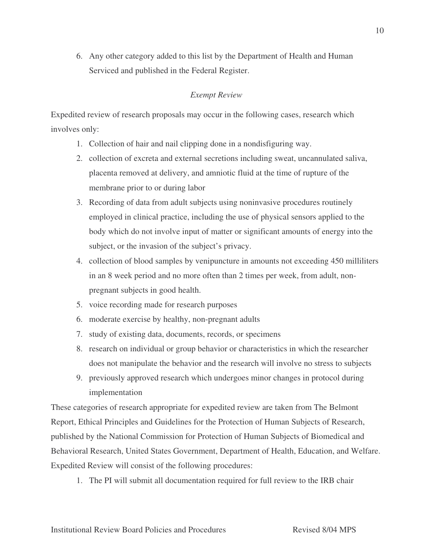6. Any other category added to this list by the Department of Health and Human Serviced and published in the Federal Register.

## *Exempt Review*

Expedited review of research proposals may occur in the following cases, research which involves only:

- 1. Collection of hair and nail clipping done in a nondisfiguring way.
- 2. collection of excreta and external secretions including sweat, uncannulated saliva, placenta removed at delivery, and amniotic fluid at the time of rupture of the membrane prior to or during labor
- 3. Recording of data from adult subjects using noninvasive procedures routinely employed in clinical practice, including the use of physical sensors applied to the body which do not involve input of matter or significant amounts of energy into the subject, or the invasion of the subject's privacy.
- 4. collection of blood samples by venipuncture in amounts not exceeding 450 milliliters in an 8 week period and no more often than 2 times per week, from adult, nonpregnant subjects in good health.
- 5. voice recording made for research purposes
- 6. moderate exercise by healthy, non-pregnant adults
- 7. study of existing data, documents, records, or specimens
- 8. research on individual or group behavior or characteristics in which the researcher does not manipulate the behavior and the research will involve no stress to subjects
- 9. previously approved research which undergoes minor changes in protocol during implementation

These categories of research appropriate for expedited review are taken from The Belmont Report, Ethical Principles and Guidelines for the Protection of Human Subjects of Research, published by the National Commission for Protection of Human Subjects of Biomedical and Behavioral Research, United States Government, Department of Health, Education, and Welfare. Expedited Review will consist of the following procedures:

1. The PI will submit all documentation required for full review to the IRB chair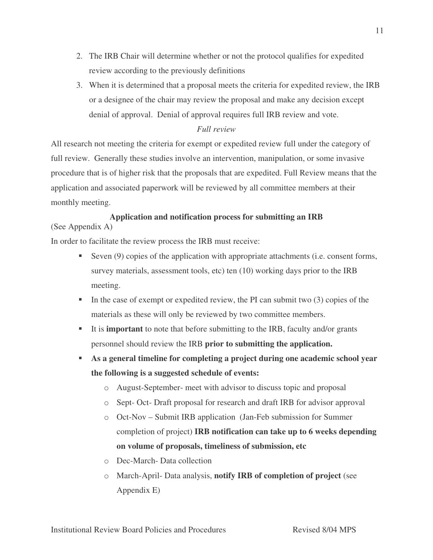- 2. The IRB Chair will determine whether or not the protocol qualifies for expedited review according to the previously definitions
- 3. When it is determined that a proposal meets the criteria for expedited review, the IRB or a designee of the chair may review the proposal and make any decision except denial of approval. Denial of approval requires full IRB review and vote.

## *Full review*

All research not meeting the criteria for exempt or expedited review full under the category of full review. Generally these studies involve an intervention, manipulation, or some invasive procedure that is of higher risk that the proposals that are expedited. Full Review means that the application and associated paperwork will be reviewed by all committee members at their monthly meeting.

## **Application and notification process for submitting an IRB**

(See Appendix A)

In order to facilitate the review process the IRB must receive:

- Seven (9) copies of the application with appropriate attachments (i.e. consent forms, survey materials, assessment tools, etc) ten (10) working days prior to the IRB meeting.
- In the case of exempt or expedited review, the PI can submit two  $(3)$  copies of the materials as these will only be reviewed by two committee members.
- It is **important** to note that before submitting to the IRB, faculty and/or grants personnel should review the IRB **prior to submitting the application.**
- **As a general timeline for completing a project during one academic school year the following is a suggested schedule of events:**
	- o August-September- meet with advisor to discuss topic and proposal
	- o Sept- Oct- Draft proposal for research and draft IRB for advisor approval
	- o Oct-Nov Submit IRB application (Jan-Feb submission for Summer completion of project) **IRB notification can take up to 6 weeks depending on volume of proposals, timeliness of submission, etc**
	- o Dec-March- Data collection
	- o March-April- Data analysis, **notify IRB of completion of project** (see Appendix E)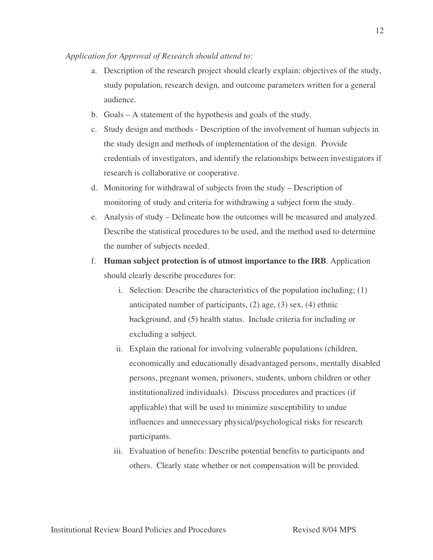#### *Application for Approval of Research should attend to:*

- a. Description of the research project should clearly explain: objectives of the study, study population, research design, and outcome parameters written for a general audience.
- b. Goals A statement of the hypothesis and goals of the study.
- c. Study design and methods Description of the involvement of human subjects in the study design and methods of implementation of the design. Provide credentials of investigators, and identify the relationships between investigators if research is collaborative or cooperative.
- d. Monitoring for withdrawal of subjects from the study Description of monitoring of study and criteria for withdrawing a subject form the study.
- e. Analysis of study Delineate how the outcomes will be measured and analyzed. Describe the statistical procedures to be used, and the method used to determine the number of subjects needed.
- f. **Human subject protection is of utmost importance to the IRB**. Application should clearly describe procedures for:
	- i. Selection: Describe the characteristics of the population including; (1) anticipated number of participants, (2) age, (3) sex, (4) ethnic background, and (5) health status. Include criteria for including or excluding a subject.
	- ii. Explain the rational for involving vulnerable populations (children, economically and educationally disadvantaged persons, mentally disabled persons, pregnant women, prisoners, students, unborn children or other institutionalized individuals). Discuss procedures and practices (if applicable) that will be used to minimize susceptibility to undue influences and unnecessary physical/psychological risks for research participants.
	- iii. Evaluation of benefits: Describe potential benefits to participants and others. Clearly state whether or not compensation will be provided.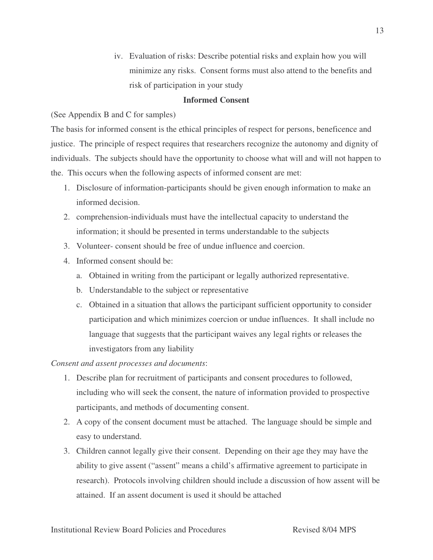iv. Evaluation of risks: Describe potential risks and explain how you will minimize any risks. Consent forms must also attend to the benefits and risk of participation in your study

### **Informed Consent**

(See Appendix B and C for samples)

The basis for informed consent is the ethical principles of respect for persons, beneficence and justice. The principle of respect requires that researchers recognize the autonomy and dignity of individuals. The subjects should have the opportunity to choose what will and will not happen to the. This occurs when the following aspects of informed consent are met:

- 1. Disclosure of information-participants should be given enough information to make an informed decision.
- 2. comprehension-individuals must have the intellectual capacity to understand the information; it should be presented in terms understandable to the subjects
- 3. Volunteer- consent should be free of undue influence and coercion.
- 4. Informed consent should be:
	- a. Obtained in writing from the participant or legally authorized representative.
	- b. Understandable to the subject or representative
	- c. Obtained in a situation that allows the participant sufficient opportunity to consider participation and which minimizes coercion or undue influences. It shall include no language that suggests that the participant waives any legal rights or releases the investigators from any liability

*Consent and assent processes and documents*:

- 1. Describe plan for recruitment of participants and consent procedures to followed, including who will seek the consent, the nature of information provided to prospective participants, and methods of documenting consent.
- 2. A copy of the consent document must be attached. The language should be simple and easy to understand.
- 3. Children cannot legally give their consent. Depending on their age they may have the ability to give assent ("assent" means a child's affirmative agreement to participate in research). Protocols involving children should include a discussion of how assent will be attained. If an assent document is used it should be attached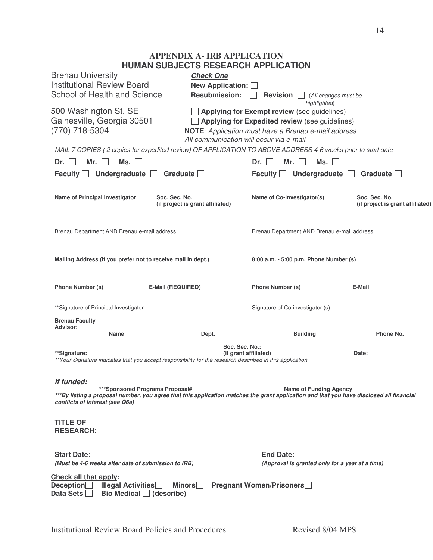## **APPENDIX A- IRB APPLICATION HUMAN SUBJECTS RESEARCH APPLICATION**

| <b>Brenau University</b><br><b>Institutional Review Board</b><br>School of Health and Science                 | <b>Check One</b><br>New Application: 0<br><b>Resubmission:</b>                                                                                       | Revision $\square$<br>(All changes must be                                                                                                                                          |                                                   |
|---------------------------------------------------------------------------------------------------------------|------------------------------------------------------------------------------------------------------------------------------------------------------|-------------------------------------------------------------------------------------------------------------------------------------------------------------------------------------|---------------------------------------------------|
| 500 Washington St. SE<br>Gainesville, Georgia 30501<br>(770) 718-5304                                         | All communication will occur via e-mail.                                                                                                             | highlighted)<br>$\Box$ Applying for Exempt review (see guidelines)<br>$\Box$ Applying for Expedited review (see guidelines)<br>NOTE: Application must have a Brenau e-mail address. |                                                   |
|                                                                                                               | MAIL 7 COPIES (2 copies for expedited review) OF APPLICATION TO ABOVE ADDRESS 4-6 weeks prior to start date                                          |                                                                                                                                                                                     |                                                   |
| Mr. l<br>Ms. $\Box$<br>Dr.<br>$\blacksquare$                                                                  |                                                                                                                                                      | Mr.<br>Ms.<br>$Dr. \perp \perp$                                                                                                                                                     |                                                   |
| Faculty $\Box$ Undergraduate $\Box$                                                                           | Graduate $\Box$                                                                                                                                      | Faculty $\Box$ Undergraduate $\Box$                                                                                                                                                 | Graduate $\Box$                                   |
| Name of Principal Investigator                                                                                | Soc. Sec. No.<br>(if project is grant affiliated)                                                                                                    | Name of Co-investigator(s)                                                                                                                                                          | Soc. Sec. No.<br>(if project is grant affiliated) |
| Brenau Department AND Brenau e-mail address                                                                   |                                                                                                                                                      | Brenau Department AND Brenau e-mail address                                                                                                                                         |                                                   |
| Mailing Address (if you prefer not to receive mail in dept.)                                                  |                                                                                                                                                      | 8:00 a.m. - 5:00 p.m. Phone Number (s)                                                                                                                                              |                                                   |
| Phone Number (s)                                                                                              | <b>E-Mail (REQUIRED)</b>                                                                                                                             | Phone Number (s)                                                                                                                                                                    | E-Mail                                            |
| ** Signature of Principal Investigator                                                                        |                                                                                                                                                      | Signature of Co-investigator (s)                                                                                                                                                    |                                                   |
| <b>Brenau Faculty</b><br>Advisor:<br><b>Name</b>                                                              | Dept.                                                                                                                                                | <b>Building</b>                                                                                                                                                                     | Phone No.                                         |
| **Signature:                                                                                                  | Soc. Sec. No.:<br>(if grant affiliated)<br>**Your Signature indicates that you accept responsibility for the research described in this application. |                                                                                                                                                                                     | Date:                                             |
| If funded:<br>***Sponsored Programs Proposal#<br>conflicts of interest (see Q6a)                              | ***By listing a proposal number, you agree that this application matches the grant application and that you have disclosed all financial             | <b>Name of Funding Agency</b>                                                                                                                                                       |                                                   |
| <b>TITLE OF</b><br><b>RESEARCH:</b>                                                                           |                                                                                                                                                      |                                                                                                                                                                                     |                                                   |
| <b>Start Date:</b>                                                                                            |                                                                                                                                                      | <b>End Date:</b>                                                                                                                                                                    |                                                   |
| (Must be 4-6 weeks after date of submission to IRB)                                                           |                                                                                                                                                      | (Approval is granted only for a year at a time)                                                                                                                                     |                                                   |
| Check all that apply:<br>Deception<br><b>Illegal Activities</b><br><b>Data Sets</b><br>Bio Medical (describe) | Minors                                                                                                                                               | <b>Pregnant Women/Prisoners</b>                                                                                                                                                     |                                                   |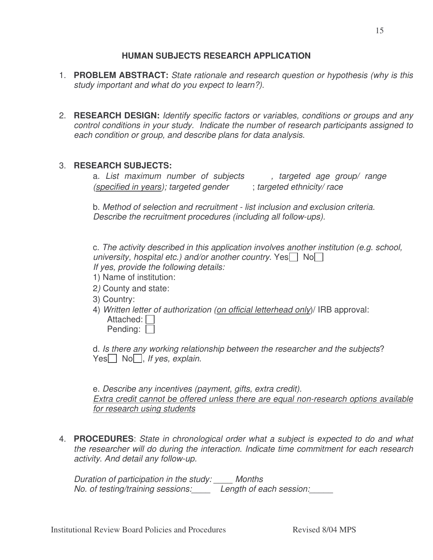# *Duration of participation in the study: \_\_\_\_ Months*

*No. of testing/training sessions:\_\_\_\_ Length of each session:\_\_\_\_\_*

## **HUMAN SUBJECTS RESEARCH APPLICATION**

- 1. **PROBLEM ABSTRACT:** *State rationale and research question or hypothesis (why is this study important and what do you expect to learn?)*.
- 2. **RESEARCH DESIGN:** *Identify specific factors or variables, conditions or groups and any control conditions in your study. Indicate the number of research participants assigned to each condition or group, and describe plans for data analysis*.

#### 3. **RESEARCH SUBJECTS:**

a. *List maximum number of subjects , targeted age group/ range (specified in years); targeted gender* ; *targeted ethnicity/ race*

b. *Method of selection and recruitment - list inclusion and exclusion criteria. Describe the recruitment procedures (including all follow-ups).*

c. *The activity described in this application involves another institution (e.g. school, university, hospital etc.) and/or another country.* Yes $\Box$  No $\Box$ *If yes, provide the following details:*

- 1) Name of institution:
- 2*)* County and state:
- 
- 3) Country:
- 4) *Written letter of authorization (on official letterhead only*)/ IRB approval: Attached:  $\Box$ Pending:

d. *Is there any working relationship between the researcher and the subjects*? Yes No , *If* yes, explain.

e. *Describe any incentives (payment, gifts, extra credit). Extra credit cannot be offered unless there are equal non-research options available for research using students*

4. **PROCEDURES**: *State in chronological order what a subject is expected to do and what the researcher will do during the interaction. Indicate time commitment for each research activity*. *And detail any follow-up.*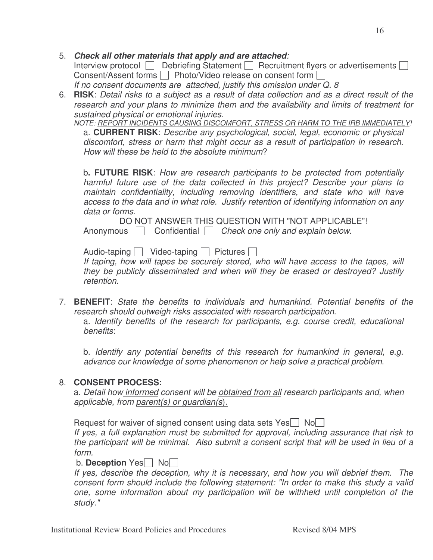## 6. RISK: Detail risks to a subject as a result of data collection and as a direct result of the *research and your plans to minimize them and the availability and limits of treatment for*

*sustained physical or emotional injuries.*

5. *Check all other materials that apply and are attached:*

Consent/Assent forms  $\Box$  Photo/Video release on consent form  $\Box$ *If no consent documents are attached, justify this omission under Q. 8*

*NOTE: REPORT INCIDENTS CAUSING DISCOMFORT, STRESS OR HARM TO THE IRB IMMEDIATELY!*

Interview protocol  $\Box$  Debriefing Statement  $\Box$  Recruitment flyers or advertisements  $\Box$ 

a. **CURRENT RISK**: *Describe any psychological, social, legal, economic or physical discomfort, stress or harm that might occur as a result of participation in research. How will these be held to the absolute minimum*?

b**. FUTURE RISK**: *How are research participants to be protected from potentially harmful future use of the data collected in this project? Describe your plans to maintain confidentiality, including removing identifiers, and state who will have access to the data and in what role. Justify retention of identifying information on any data or forms*.

DO NOT ANSWER THIS QUESTION WITH "NOT APPLICABLE"! Anonymous Confidential *Check one only and explain below.*

Audio-taping  $\Box$  Video-taping  $\Box$  Pictures  $\Box$ 

*If taping, how will tapes be securely stored, who will have access to the tapes, will they be publicly disseminated and when will they be erased or destroyed? Justify retention*.

7. **BENEFIT**: *State the benefits to individuals and humankind. Potential benefits of the research should outweigh risks associated with research participation*. a. *Identify benefits of the research for participants, e.g. course credit, educational benefits*:

b. *Identify any potential benefits of this research for humankind in general, e.g. advance our knowledge of some phenomenon or help solve a practical problem*.

## 8. **CONSENT PROCESS:**

a. *Detail how informed consent will be obtained from all research participants and, when applicable, from parent(s) or guardian(s*).

Request for waiver of signed consent using data sets Yes $\Box$  No $\Box$ 

*If yes, a full explanation must be submitted for approval, including assurance that risk to the participant will be minimal*. *Also submit a consent script that will be used in lieu of a form.*

### b. **Deception** Yes No

*If yes, describe the deception, why it is necessary, and how you will debrief them. The consent form should include the following statement: "In order to make this study a valid one, some information about my participation will be withheld until completion of the study."*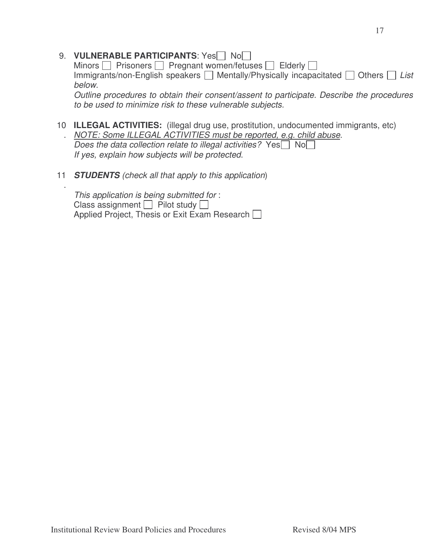|                 | 9. VULNERABLE PARTICIPANTS: Yes No<br>Minors $\Box$ Prisoners $\Box$ Pregnant women/fetuses $\Box$ Elderly $\Box$                                                                                                                                                                        |
|-----------------|------------------------------------------------------------------------------------------------------------------------------------------------------------------------------------------------------------------------------------------------------------------------------------------|
|                 | Immigrants/non-English speakers $\Box$ Mentally/Physically incapacitated $\Box$ Others $\Box$ List<br>below.                                                                                                                                                                             |
|                 | Outline procedures to obtain their consent/assent to participate. Describe the procedures<br>to be used to minimize risk to these vulnerable subjects.                                                                                                                                   |
| 10              | <b>ILLEGAL ACTIVITIES:</b> (illegal drug use, prostitution, undocumented immigrants, etc)<br>NOTE: Some ILLEGAL ACTIVITIES must be reported, e.g. child abuse.<br>Does the data collection relate to illegal activities? Yes Sollahol<br>If yes, explain how subjects will be protected. |
| 11 <sub>1</sub> | <b>STUDENTS</b> (check all that apply to this application)                                                                                                                                                                                                                               |
|                 | This application is being submitted for:<br>Class assignment $\Box$ Pilot study $\Box$<br>Applied Project, Thesis or Exit Exam Research                                                                                                                                                  |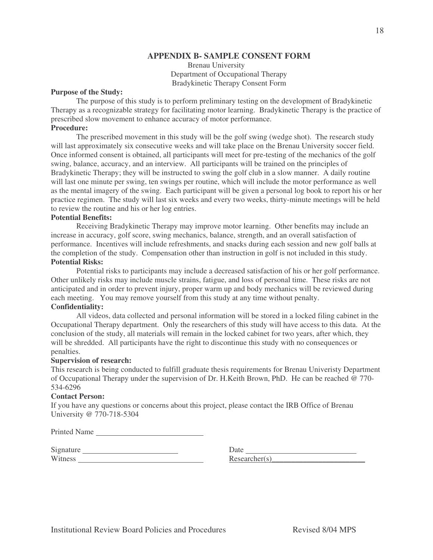#### **APPENDIX B- SAMPLE CONSENT FORM**

Brenau University Department of Occupational Therapy Bradykinetic Therapy Consent Form

#### **Purpose of the Study:**

The purpose of this study is to perform preliminary testing on the development of Bradykinetic Therapy as a recognizable strategy for facilitating motor learning. Bradykinetic Therapy is the practice of prescribed slow movement to enhance accuracy of motor performance. **Procedure:**

The prescribed movement in this study will be the golf swing (wedge shot). The research study will last approximately six consecutive weeks and will take place on the Brenau University soccer field. Once informed consent is obtained, all participants will meet for pre-testing of the mechanics of the golf swing, balance, accuracy, and an interview. All participants will be trained on the principles of Bradykinetic Therapy; they will be instructed to swing the golf club in a slow manner. A daily routine will last one minute per swing, ten swings per routine, which will include the motor performance as well as the mental imagery of the swing. Each participant will be given a personal log book to report his or her practice regimen. The study will last six weeks and every two weeks, thirty-minute meetings will be held to review the routine and his or her log entries.

## **Potential Benefits:**

Receiving Bradykinetic Therapy may improve motor learning. Other benefits may include an increase in accuracy, golf score, swing mechanics, balance, strength, and an overall satisfaction of performance. Incentives will include refreshments, and snacks during each session and new golf balls at the completion of the study. Compensation other than instruction in golf is not included in this study. **Potential Risks:**

Potential risks to participants may include a decreased satisfaction of his or her golf performance. Other unlikely risks may include muscle strains, fatigue, and loss of personal time. These risks are not anticipated and in order to prevent injury, proper warm up and body mechanics will be reviewed during each meeting. You may remove yourself from this study at any time without penalty.

## **Confidentiality:**

All videos, data collected and personal information will be stored in a locked filing cabinet in the Occupational Therapy department. Only the researchers of this study will have access to this data. At the conclusion of the study, all materials will remain in the locked cabinet for two years, after which, they will be shredded. All participants have the right to discontinue this study with no consequences or penalties.

#### **Supervision of research:**

This research is being conducted to fulfill graduate thesis requirements for Brenau Univeristy Department of Occupational Therapy under the supervision of Dr. H.Keith Brown, PhD. He can be reached @ 770- 534-6296

#### **Contact Person:**

If you have any questions or concerns about this project, please contact the IRB Office of Brenau University @ 770-718-5304

Printed Name

| Signature | Date |
|-----------|------|
| Witness   | Rese |

 $Researcher(s)$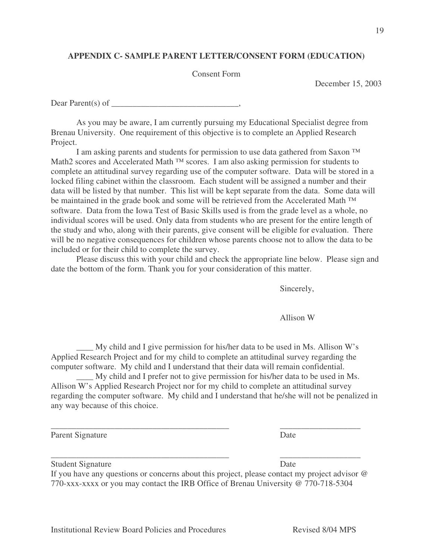## **APPENDIX C- SAMPLE PARENT LETTER/CONSENT FORM (EDUCATION)**

#### Consent Form

December 15, 2003

Dear Parent(s) of  $\qquad \qquad$ 

As you may be aware, I am currently pursuing my Educational Specialist degree from Brenau University. One requirement of this objective is to complete an Applied Research Project.

I am asking parents and students for permission to use data gathered from Saxon ™ Math2 scores and Accelerated Math ™ scores. I am also asking permission for students to complete an attitudinal survey regarding use of the computer software. Data will be stored in a locked filing cabinet within the classroom. Each student will be assigned a number and their data will be listed by that number. This list will be kept separate from the data. Some data will be maintained in the grade book and some will be retrieved from the Accelerated Math ™ software. Data from the Iowa Test of Basic Skills used is from the grade level as a whole, no individual scores will be used. Only data from students who are present for the entire length of the study and who, along with their parents, give consent will be eligible for evaluation. There will be no negative consequences for children whose parents choose not to allow the data to be included or for their child to complete the survey.

Please discuss this with your child and check the appropriate line below. Please sign and date the bottom of the form. Thank you for your consideration of this matter.

Sincerely,

Allison W

\_\_\_\_ My child and I give permission for his/her data to be used in Ms. Allison W's Applied Research Project and for my child to complete an attitudinal survey regarding the computer software. My child and I understand that their data will remain confidential.

\_\_\_\_\_\_\_\_\_\_\_\_\_\_\_\_\_\_\_\_\_\_\_\_\_\_\_\_\_\_\_\_\_\_\_\_\_\_\_\_\_\_ \_\_\_\_\_\_\_\_\_\_\_\_\_\_\_\_\_\_\_

\_\_\_\_\_\_\_\_\_\_\_\_\_\_\_\_\_\_\_\_\_\_\_\_\_\_\_\_\_\_\_\_\_\_\_\_\_\_\_\_\_\_ \_\_\_\_\_\_\_\_\_\_\_\_\_\_\_\_\_\_\_

\_\_\_\_ My child and I prefer not to give permission for his/her data to be used in Ms. Allison W's Applied Research Project nor for my child to complete an attitudinal survey regarding the computer software. My child and I understand that he/she will not be penalized in any way because of this choice.

Parent Signature Date

| <b>Student Signature</b> | Date |
|--------------------------|------|
|                          |      |

If you have any questions or concerns about this project, please contact my project advisor @ 770-xxx-xxxx or you may contact the IRB Office of Brenau University @ 770-718-5304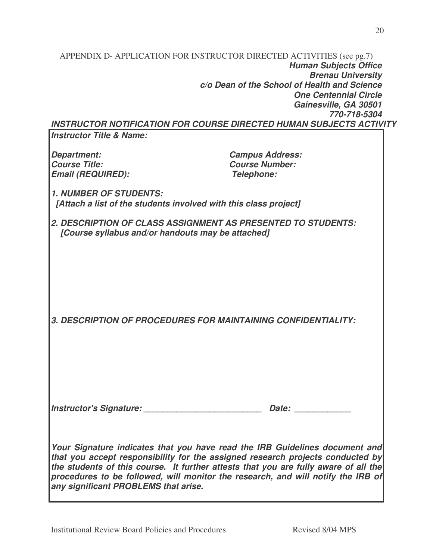|                                     | <b>Human Subjects Office</b>                                        |
|-------------------------------------|---------------------------------------------------------------------|
|                                     | <b>Brenau University</b>                                            |
|                                     | c/o Dean of the School of Health and Science                        |
|                                     | <b>One Centennial Circle</b>                                        |
|                                     | Gainesville, GA 30501                                               |
|                                     | 770-718-5304                                                        |
|                                     | INSTRUCTOR NOTIFICATION FOR COURSE DIRECTED HUMAN SUBJECTS ACTIVITY |
| <b>Instructor Title &amp; Name:</b> |                                                                     |
| Department:                         | <b>Campus Address:</b>                                              |
| <b>Course Title:</b>                | <b>Course Number:</b>                                               |
| <b>Email (REQUIRED):</b>            | <b>Telephone:</b>                                                   |
| <b>1. NUMBER OF STUDENTS:</b>       |                                                                     |
|                                     | [Attach a list of the students involved with this class project]    |
|                                     | DESCRIPTION OF CLASS ASSIGNMENT AS PRESENTED TO STUDENTS.           |

APPENDIX D- APPLICATION FOR INSTRUCTOR DIRECTED ACTIVITIES (see pg.7)

*2. DESCRIPTION OF CLASS ASSIGNMENT AS PRESENTED TO STUDENTS: [Course syllabus and/or handouts may be attached]*

*3. DESCRIPTION OF PROCEDURES FOR MAINTAINING CONFIDENTIALITY:*

*Instructor's Signature: \_\_\_\_\_\_\_\_\_\_\_\_\_\_\_\_\_\_\_\_\_\_\_\_\_ Date: \_\_\_\_\_\_\_\_\_\_\_\_*

*Your Signature indicates that you have read the IRB Guidelines document and that you accept responsibility for the assigned research projects conducted by the students of this course. It further attests that you are fully aware of all the procedures to be followed, will monitor the research, and will notify the IRB of any significant PROBLEMS that arise.*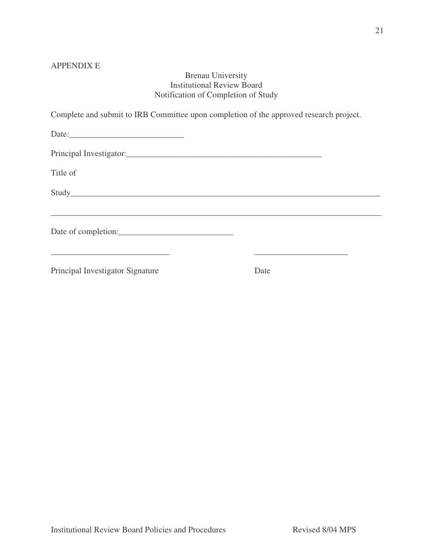## APPENDIX E

## Brenau University Institutional Review Board Notification of Completion of Study

|                                  | Complete and submit to IRB Committee upon completion of the approved research project. |  |
|----------------------------------|----------------------------------------------------------------------------------------|--|
| Date:                            |                                                                                        |  |
|                                  |                                                                                        |  |
| Title of                         |                                                                                        |  |
|                                  |                                                                                        |  |
|                                  |                                                                                        |  |
| Principal Investigator Signature | Date                                                                                   |  |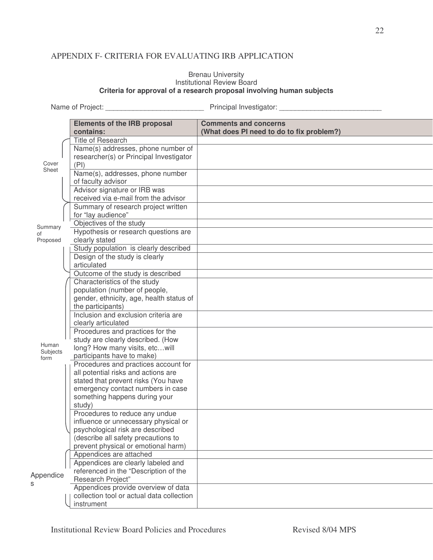## APPENDIX F- CRITERIA FOR EVALUATING IRB APPLICATION

#### Brenau University Institutional Review Board **Criteria for approval of a research proposal involving human subjects**

Name of Project: \_\_\_\_\_\_\_\_\_\_\_\_\_\_\_\_\_\_\_\_\_\_\_\_\_ Principal Investigator: \_\_\_\_\_\_\_\_\_\_\_\_\_\_\_\_\_\_\_\_\_\_\_\_\_\_

|               | <b>Elements of the IRB proposal</b><br>contains: | <b>Comments and concerns</b><br>(What does PI need to do to fix problem?) |
|---------------|--------------------------------------------------|---------------------------------------------------------------------------|
|               | <b>Title of Research</b>                         |                                                                           |
|               | Name(s) addresses, phone number of               |                                                                           |
|               | researcher(s) or Principal Investigator          |                                                                           |
| Cover         | (PI)                                             |                                                                           |
| Sheet         | Name(s), addresses, phone number                 |                                                                           |
|               | of faculty advisor                               |                                                                           |
|               | Advisor signature or IRB was                     |                                                                           |
|               | received via e-mail from the advisor             |                                                                           |
|               | Summary of research project written              |                                                                           |
|               | for "lay audience"                               |                                                                           |
|               | Objectives of the study                          |                                                                           |
| Summary<br>of | Hypothesis or research questions are             |                                                                           |
| Proposed      | clearly stated                                   |                                                                           |
|               | Study population is clearly described            |                                                                           |
|               | Design of the study is clearly                   |                                                                           |
|               | articulated                                      |                                                                           |
|               | Outcome of the study is described                |                                                                           |
|               | Characteristics of the study                     |                                                                           |
|               | population (number of people,                    |                                                                           |
|               | gender, ethnicity, age, health status of         |                                                                           |
|               | the participants)                                |                                                                           |
|               | Inclusion and exclusion criteria are             |                                                                           |
|               | clearly articulated                              |                                                                           |
|               | Procedures and practices for the                 |                                                                           |
| Human         | study are clearly described. (How                |                                                                           |
| Subjects      | long? How many visits, etcwill                   |                                                                           |
| form          | participants have to make)                       |                                                                           |
|               | Procedures and practices account for             |                                                                           |
|               | all potential risks and actions are              |                                                                           |
|               | stated that prevent risks (You have              |                                                                           |
|               | emergency contact numbers in case                |                                                                           |
|               | something happens during your                    |                                                                           |
|               | study)<br>Procedures to reduce any undue         |                                                                           |
|               | influence or unnecessary physical or             |                                                                           |
|               | psychological risk are described                 |                                                                           |
|               | (describe all safety precautions to              |                                                                           |
|               | prevent physical or emotional harm)              |                                                                           |
|               | Appendices are attached                          |                                                                           |
|               | Appendices are clearly labeled and               |                                                                           |
|               | referenced in the "Description of the            |                                                                           |
| Appendice     | <b>Research Project"</b>                         |                                                                           |
| S             | Appendices provide overview of data              |                                                                           |
|               | collection tool or actual data collection        |                                                                           |
|               | instrument                                       |                                                                           |
|               |                                                  |                                                                           |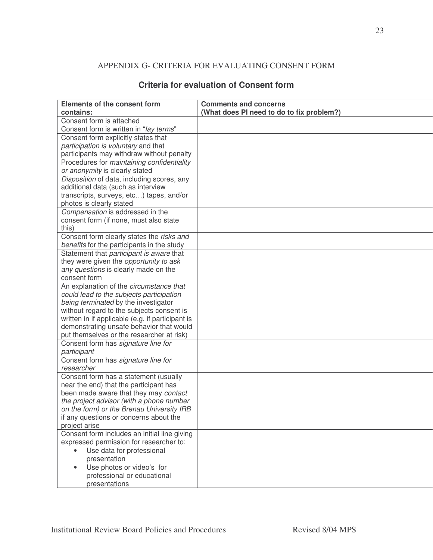## APPENDIX G- CRITERIA FOR EVALUATING CONSENT FORM

| <b>Elements of the consent form</b>                                                 | <b>Comments and concerns</b>              |
|-------------------------------------------------------------------------------------|-------------------------------------------|
| contains:                                                                           | (What does PI need to do to fix problem?) |
| Consent form is attached                                                            |                                           |
| Consent form is written in "lay terms"                                              |                                           |
| Consent form explicitly states that                                                 |                                           |
| participation is voluntary and that                                                 |                                           |
| participants may withdraw without penalty                                           |                                           |
| Procedures for maintaining confidentiality                                          |                                           |
| or anonymity is clearly stated                                                      |                                           |
| Disposition of data, including scores, any                                          |                                           |
| additional data (such as interview                                                  |                                           |
| transcripts, surveys, etc) tapes, and/or                                            |                                           |
| photos is clearly stated                                                            |                                           |
| Compensation is addressed in the                                                    |                                           |
| consent form (if none, must also state                                              |                                           |
| this)                                                                               |                                           |
| Consent form clearly states the risks and                                           |                                           |
| benefits for the participants in the study                                          |                                           |
| Statement that participant is aware that                                            |                                           |
| they were given the opportunity to ask                                              |                                           |
| any questions is clearly made on the                                                |                                           |
| consent form                                                                        |                                           |
| An explanation of the circumstance that                                             |                                           |
| could lead to the subjects participation                                            |                                           |
| being terminated by the investigator                                                |                                           |
| without regard to the subjects consent is                                           |                                           |
| written in if applicable (e.g. if participant is                                    |                                           |
| demonstrating unsafe behavior that would                                            |                                           |
| put themselves or the researcher at risk)                                           |                                           |
| Consent form has signature line for                                                 |                                           |
| participant                                                                         |                                           |
| Consent form has signature line for                                                 |                                           |
| researcher                                                                          |                                           |
| Consent form has a statement (usually                                               |                                           |
| near the end) that the participant has                                              |                                           |
| been made aware that they may contact                                               |                                           |
| the project advisor (with a phone number                                            |                                           |
| on the form) or the Brenau University IRB<br>if any questions or concerns about the |                                           |
|                                                                                     |                                           |
| project arise<br>Consent form includes an initial line giving                       |                                           |
| expressed permission for researcher to:                                             |                                           |
| Use data for professional                                                           |                                           |
| presentation                                                                        |                                           |
| Use photos or video's for                                                           |                                           |
| professional or educational                                                         |                                           |
| presentations                                                                       |                                           |
|                                                                                     |                                           |

## **Criteria for evaluation of Consent form**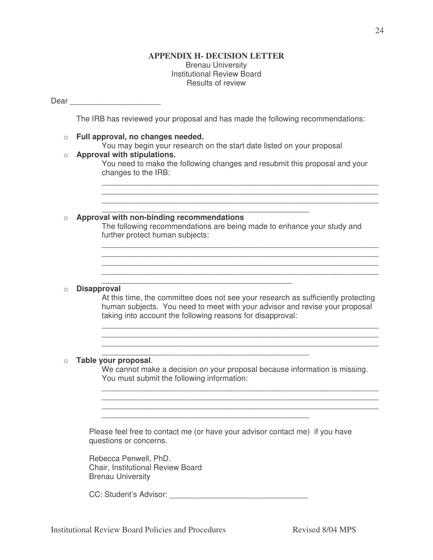#### **APPENDIX H- DECISION LETTER** Brenau University Institutional Review Board Results of review

#### Dear **Dear**

The IRB has reviewed your proposal and has made the following recommendations:

#### o **Full approval, no changes needed.**

You may begin your research on the start date listed on your proposal

#### o **Approval with stipulations.**

You need to make the following changes and resubmit this proposal and your changes to the IRB:

\_\_\_\_\_\_\_\_\_\_\_\_\_\_\_\_\_\_\_\_\_\_\_\_\_\_\_\_\_\_\_\_\_\_\_\_\_\_\_\_\_\_\_\_\_\_\_\_\_\_\_\_\_\_\_\_\_\_\_\_\_\_\_\_ \_\_\_\_\_\_\_\_\_\_\_\_\_\_\_\_\_\_\_\_\_\_\_\_\_\_\_\_\_\_\_\_\_\_\_\_\_\_\_\_\_\_\_\_\_\_\_\_\_\_\_\_\_\_\_\_\_\_\_\_\_\_\_\_ \_\_\_\_\_\_\_\_\_\_\_\_\_\_\_\_\_\_\_\_\_\_\_\_\_\_\_\_\_\_\_\_\_\_\_\_\_\_\_\_\_\_\_\_\_\_\_\_\_\_\_\_\_\_\_\_\_\_\_\_\_\_\_\_

#### \_\_\_\_\_\_\_\_\_\_\_\_\_\_\_\_\_\_\_\_\_\_\_\_\_\_\_\_\_\_\_\_\_\_\_\_\_\_\_\_\_\_\_\_\_\_\_\_ o **Approval with non-binding recommendations**

The following recommendations are being made to enhance your study and further protect human subjects:

\_\_\_\_\_\_\_\_\_\_\_\_\_\_\_\_\_\_\_\_\_\_\_\_\_\_\_\_\_\_\_\_\_\_\_\_\_\_\_\_\_\_\_\_\_\_\_\_\_\_\_\_\_\_\_\_\_\_\_\_\_\_\_\_

#### \_\_\_\_\_\_\_\_\_\_\_\_\_\_\_\_\_\_\_\_\_\_\_\_\_\_\_\_\_\_\_\_\_\_\_\_\_\_\_\_\_\_\_\_ o **Disapproval**

At this time, the committee does not see your research as sufficiently protecting human subjects. You need to meet with your advisor and revise your proposal taking into account the following reasons for disapproval:

\_\_\_\_\_\_\_\_\_\_\_\_\_\_\_\_\_\_\_\_\_\_\_\_\_\_\_\_\_\_\_\_\_\_\_\_\_\_\_\_\_\_\_\_\_\_\_\_\_\_\_\_\_\_\_\_\_\_\_\_\_\_\_\_ \_\_\_\_\_\_\_\_\_\_\_\_\_\_\_\_\_\_\_\_\_\_\_\_\_\_\_\_\_\_\_\_\_\_\_\_\_\_\_\_\_\_\_\_\_\_\_\_\_\_\_\_\_\_\_\_\_\_\_\_\_\_\_\_ \_\_\_\_\_\_\_\_\_\_\_\_\_\_\_\_\_\_\_\_\_\_\_\_\_\_\_\_\_\_\_\_\_\_\_\_\_\_\_\_\_\_\_\_\_\_\_\_\_\_\_\_\_\_\_\_\_\_\_\_\_\_\_\_

\_\_\_\_\_\_\_\_\_\_\_\_\_\_\_\_\_\_\_\_\_\_\_\_\_\_\_\_\_\_\_\_\_\_\_\_\_\_\_\_\_\_\_\_\_\_\_\_\_\_\_\_\_\_\_\_\_\_\_\_\_\_\_\_

#### o **Table your proposal**.

We cannot make a decision on your proposal because information is missing. You must submit the following information:

\_\_\_\_\_\_\_\_\_\_\_\_\_\_\_\_\_\_\_\_\_\_\_\_\_\_\_\_\_\_\_\_\_\_\_\_\_\_\_\_\_\_\_\_\_\_\_\_\_\_\_\_\_\_\_\_\_\_\_\_\_\_\_\_ \_\_\_\_\_\_\_\_\_\_\_\_\_\_\_\_\_\_\_\_\_\_\_\_\_\_\_\_\_\_\_\_\_\_\_\_\_\_\_\_\_\_\_\_\_\_\_\_\_\_\_\_\_\_\_\_\_\_\_\_\_\_\_\_ \_\_\_\_\_\_\_\_\_\_\_\_\_\_\_\_\_\_\_\_\_\_\_\_\_\_\_\_\_\_\_\_\_\_\_\_\_\_\_\_\_\_\_\_\_\_\_\_\_\_\_\_\_\_\_\_\_\_\_\_\_\_\_\_

Please feel free to contact me (or have your advisor contact me) if you have questions or concerns.

\_\_\_\_\_\_\_\_\_\_\_\_\_\_\_\_\_\_\_\_\_\_\_\_\_\_\_\_\_\_\_\_\_\_\_\_\_\_\_\_\_\_\_\_\_\_\_\_

\_\_\_\_\_\_\_\_\_\_\_\_\_\_\_\_\_\_\_\_\_\_\_\_\_\_\_\_\_\_\_\_\_\_\_\_\_\_\_\_\_\_\_\_\_\_\_\_

Rebecca Penwell, PhD. Chair, Institutional Review Board Brenau University

CC: Student's Advisor: **Example 2018**